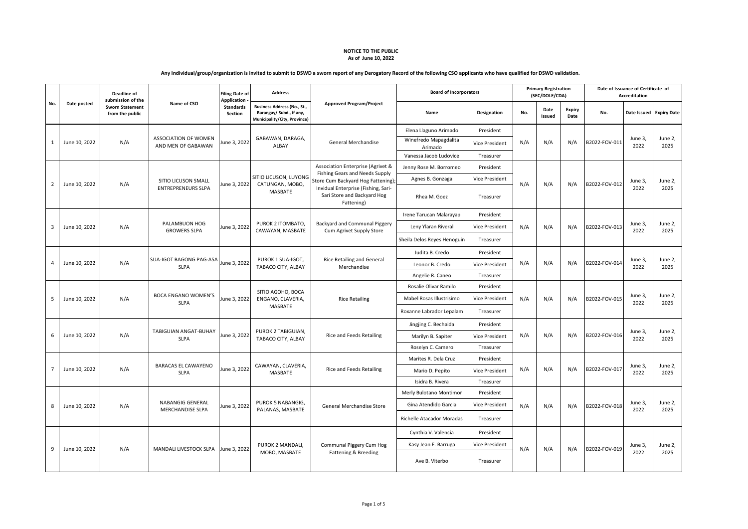|   |                |               | Deadline of<br>submission of the          |                                                   | <b>Filing Date of</b><br><b>Application</b> | <b>Address</b>                                                                          |                                                                                  | <b>Board of Incorporators</b>    |                | <b>Primary Registration</b><br>(SEC/DOLE/CDA) |                |                |               | Date of Issuance of Certificate of<br><b>Accreditation</b> |                         |
|---|----------------|---------------|-------------------------------------------|---------------------------------------------------|---------------------------------------------|-----------------------------------------------------------------------------------------|----------------------------------------------------------------------------------|----------------------------------|----------------|-----------------------------------------------|----------------|----------------|---------------|------------------------------------------------------------|-------------------------|
|   | No.            | Date posted   | <b>Sworn Statement</b><br>from the public | Name of CSO                                       | <b>Standards</b><br>Section                 | Business Address (No., St.,<br>Barangay/ Subd., if any,<br>Municipality/City, Province) | <b>Approved Program/Project</b>                                                  | Name                             | Designation    | No.                                           | Date<br>Issued | Expiry<br>Date | No.           |                                                            | Date Issued Expiry Date |
|   |                |               |                                           |                                                   |                                             |                                                                                         |                                                                                  | Elena Llaguno Arimado            | President      |                                               |                |                |               |                                                            |                         |
|   | $\mathbf{1}$   | June 10, 2022 | N/A                                       | <b>ASSOCIATION OF WOMEN</b><br>AND MEN OF GABAWAN | June 3, 2022                                | GABAWAN, DARAGA,<br>ALBAY                                                               | General Merchandise                                                              | Winefredo Mapagdalita<br>Arimado | Vice President | N/A                                           | N/A            | N/A            | B2022-FOV-011 | June 3,<br>2022                                            | June 2,<br>2025         |
|   |                |               |                                           |                                                   |                                             |                                                                                         |                                                                                  | Vanessa Jacob Ludovice           | Treasurer      |                                               |                |                |               |                                                            |                         |
|   |                |               |                                           |                                                   |                                             |                                                                                         | Association Enterprise (Agrivet &<br>Fishing Gears and Needs Supply              | Jenny Rose M. Borromeo           | President      |                                               |                |                |               |                                                            |                         |
|   |                | June 10, 2022 | N/A                                       | SITIO LICUSON SMALL                               | June 3, 2022                                | SITIO LICUSON, LUYONG<br>CATUNGAN, MOBO,                                                | Store Cum Backyard Hog Fattening);                                               | Agnes B. Gonzaga                 | Vice President | N/A                                           | N/A            | N/A            | B2022-FOV-012 | June 3,                                                    | June 2,<br>2025         |
|   | $\overline{2}$ |               |                                           | <b>ENTREPRENEURS SLPA</b>                         |                                             | MASBATE                                                                                 | Invidual Enterprise (Fishing, Sari-<br>Sari Store and Backyard Hog<br>Fattening) | Rhea M. Goez                     | Treasurer      |                                               |                |                |               | 2022                                                       |                         |
|   |                |               |                                           |                                                   |                                             |                                                                                         |                                                                                  | Irene Tarucan Malarayap          | President      |                                               |                |                |               |                                                            |                         |
| 3 |                | June 10, 2022 | N/A                                       | PALAMBUON HOG<br><b>GROWERS SLPA</b>              | June 3, 2022                                | PUROK 2 ITOMBATO.<br>CAWAYAN, MASBATE                                                   | Backyard and Communal Piggery<br>Cum Agrivet Supply Store                        | Leny Ylaran Riveral              | Vice President | N/A                                           | N/A            | N/A            | B2022-FOV-013 | June 3,<br>2022                                            | June 2,<br>2025         |
|   |                |               |                                           |                                                   |                                             |                                                                                         |                                                                                  | Sheila Delos Reyes Henoguin      | Treasurer      |                                               |                |                |               |                                                            |                         |
|   |                |               |                                           |                                                   |                                             |                                                                                         |                                                                                  | Judita B. Credo                  | President      |                                               |                |                |               |                                                            |                         |
| 4 |                | June 10, 2022 | N/A                                       | SUA-IGOT BAGONG PAG-ASA<br><b>SLPA</b>            | June 3, 2022                                | PUROK 1 SUA-IGOT,<br>TABACO CITY, ALBAY                                                 | <b>Rice Retailing and General</b><br>Merchandise                                 | Leonor B. Credo                  | Vice President | N/A                                           | N/A            | N/A            | B2022-FOV-014 | June 3,<br>2022                                            | June 2,<br>2025         |
|   |                |               |                                           |                                                   |                                             |                                                                                         |                                                                                  | Angelie R. Caneo                 | Treasurer      |                                               |                |                |               |                                                            |                         |
|   |                |               |                                           |                                                   |                                             | SITIO AGOHO, BOCA                                                                       |                                                                                  | Rosalie Olivar Ramilo            | President      |                                               |                |                |               | June 3,<br>2022                                            |                         |
|   | 5              | June 10, 2022 | N/A                                       | <b>BOCA ENGANO WOMEN'S</b><br><b>SLPA</b>         | June 3, 2022                                | ENGANO, CLAVERIA,                                                                       | <b>Rice Retailing</b>                                                            | Mabel Rosas Illustrisimo         | Vice President | N/A                                           | N/A            | N/A            | B2022-FOV-015 |                                                            | June 2,<br>2025         |
|   |                |               |                                           |                                                   |                                             | MASBATE                                                                                 |                                                                                  | Roxanne Labrador Lepalam         | Treasurer      |                                               |                |                |               |                                                            |                         |
|   |                |               |                                           |                                                   |                                             | PUROK 2 TABIGUIAN,<br>TABACO CITY, ALBAY                                                | Rice and Feeds Retailing                                                         | Jingjing C. Bechaida             | President      |                                               |                |                | B2022-FOV-016 | June 3,<br>2022                                            | June 2,<br>2025         |
|   | 6              | June 10, 2022 | N/A                                       | <b>TABIGUIAN ANGAT-BUHAY</b><br><b>SLPA</b>       | June 3, 2022                                |                                                                                         |                                                                                  | Marilyn B. Sapiter               | Vice President | N/A                                           | N/A            | N/A            |               |                                                            |                         |
|   |                |               |                                           |                                                   |                                             |                                                                                         |                                                                                  | Roselyn C. Camero                | Treasurer      |                                               |                |                |               |                                                            |                         |
|   |                |               |                                           |                                                   |                                             |                                                                                         | Rice and Feeds Retailing                                                         | Marites R. Dela Cruz             | President      |                                               |                |                |               | June 3,<br>2022                                            | June 2,<br>2025         |
|   | $\overline{7}$ | June 10, 2022 | N/A                                       | <b>BARACAS EL CAWAYENO</b><br><b>SLPA</b>         | June 3, 2022                                | CAWAYAN, CLAVERIA,<br><b>MASBATE</b>                                                    |                                                                                  | Mario D. Pepito                  | Vice President | N/A                                           | N/A            | N/A            | B2022-FOV-017 |                                                            |                         |
|   |                |               |                                           |                                                   |                                             |                                                                                         |                                                                                  | Isidra B. Rivera                 | Treasurer      |                                               |                |                |               |                                                            |                         |
|   |                |               |                                           |                                                   |                                             |                                                                                         |                                                                                  | Merly Bulotano Montimor          | President      |                                               |                |                |               |                                                            |                         |
|   | 8              | June 10, 2022 | N/A                                       | NABANGIG GENERAL<br>MERCHANDISE SLPA              | June 3, 2022                                | PUROK 5 NABANGIG,<br>PALANAS, MASBATE                                                   | General Merchandise Store                                                        | Gina Atendido Garcia             | Vice President | N/A                                           | N/A            | N/A            | B2022-FOV-018 | June 3,<br>2022                                            | June 2,<br>2025         |
|   |                |               |                                           |                                                   |                                             |                                                                                         |                                                                                  | <b>Richelle Atacador Moradas</b> | Treasurer      |                                               |                |                |               |                                                            |                         |
|   |                |               |                                           |                                                   |                                             |                                                                                         |                                                                                  | Cynthia V. Valencia              | President      |                                               |                |                |               |                                                            | June 2,                 |
|   | 9              | June 10, 2022 | N/A                                       | MANDALI LIVESTOCK SLPA                            | June 3, 2022                                | PUROK 2 MANDALI,<br>MOBO, MASBATE                                                       | Communal Piggery Cum Hog<br>Fattening & Breeding                                 | Kasy Jean E. Barruga             | Vice President | N/A                                           | N/A            | N/A            | B2022-FOV-019 | June 3,                                                    |                         |
|   |                |               |                                           |                                                   |                                             |                                                                                         |                                                                                  | Ave B. Viterbo                   | Treasurer      |                                               |                |                |               | 2022                                                       | 2025                    |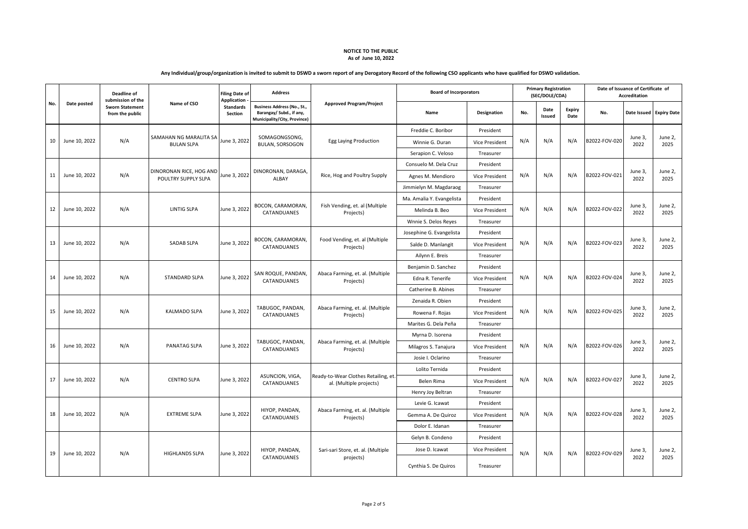|     |               | Deadline of<br>submission of the          |                                                | <b>Filing Date of</b><br><b>Application</b> | <b>Address</b>                                                                                 |                                                                 |                           | <b>Board of Incorporators</b> |     | <b>Primary Registration</b><br>(SEC/DOLE/CDA) |                |               | Date of Issuance of Certificate of<br><b>Accreditation</b> |                 |  |
|-----|---------------|-------------------------------------------|------------------------------------------------|---------------------------------------------|------------------------------------------------------------------------------------------------|-----------------------------------------------------------------|---------------------------|-------------------------------|-----|-----------------------------------------------|----------------|---------------|------------------------------------------------------------|-----------------|--|
| No. | Date posted   | <b>Sworn Statement</b><br>from the public | Name of CSO                                    | <b>Standards</b><br>Section                 | <b>Business Address (No., St.,</b><br>Barangay/ Subd., if any,<br>Municipality/City, Province) | <b>Approved Program/Project</b>                                 | Name                      | Designation                   | No. | Date<br>Issued                                | Expiry<br>Date | No.           | Date Issued Expiry Date                                    |                 |  |
|     |               |                                           |                                                |                                             |                                                                                                |                                                                 | Freddie C. Boribor        | President                     |     |                                               |                |               |                                                            |                 |  |
| 10  | June 10, 2022 | N/A                                       | SAMAHAN NG MARALITA SA<br><b>BULAN SLPA</b>    | June 3, 2022                                | SOMAGONGSONG,<br><b>BULAN, SORSOGON</b>                                                        | Egg Laying Production                                           | Winnie G. Duran           | Vice President                | N/A | N/A                                           | N/A            | B2022-FOV-020 | June 3,<br>2022                                            | June 2,<br>2025 |  |
|     |               |                                           |                                                |                                             |                                                                                                |                                                                 | Serapion C. Veloso        | Treasurer                     |     |                                               |                |               |                                                            |                 |  |
|     |               |                                           |                                                |                                             |                                                                                                |                                                                 | Consuelo M. Dela Cruz     | President                     |     |                                               |                |               |                                                            |                 |  |
| 11  | June 10, 2022 | N/A                                       | DINORONAN RICE, HOG AND<br>POULTRY SUPPLY SLPA | June 3, 2022                                | DINORONAN, DARAGA,<br>ALBAY                                                                    | Rice, Hog and Poultry Supply                                    | Agnes M. Mendioro         | Vice President                | N/A | N/A                                           | N/A            | B2022-FOV-021 | June 3,<br>2022                                            | June 2,<br>2025 |  |
|     |               |                                           |                                                |                                             |                                                                                                |                                                                 | Jimmielyn M. Magdaraog    | Treasurer                     |     |                                               |                |               |                                                            |                 |  |
|     |               |                                           |                                                |                                             |                                                                                                |                                                                 | Ma. Amalia Y. Evangelista | President                     |     |                                               |                |               |                                                            |                 |  |
| 12  | June 10, 2022 | N/A                                       | LINTIG SLPA                                    | June 3, 2022                                | BOCON, CARAMORAN<br>CATANDUANES                                                                | Fish Vending, et. al (Multiple<br>Projects)                     | Melinda B. Beo            | Vice President                | N/A | N/A                                           | N/A            | B2022-FOV-022 | June 3,<br>2022                                            | June 2,<br>2025 |  |
|     |               |                                           |                                                |                                             |                                                                                                |                                                                 | Wnnie S. Delos Reyes      | Treasurer                     |     |                                               |                |               |                                                            |                 |  |
|     |               |                                           |                                                |                                             |                                                                                                |                                                                 | Josephine G. Evangelista  | President                     |     |                                               |                |               |                                                            |                 |  |
| 13  | June 10, 2022 | N/A                                       | <b>SADAB SLPA</b>                              | June 3, 2022                                | BOCON, CARAMORAN,<br>CATANDUANES                                                               | Food Vending, et. al (Multiple<br>Projects)                     | Salde D. Manlangit        | Vice President                | N/A | N/A                                           | N/A            | B2022-FOV-023 | June 3,<br>2022                                            | June 2,<br>2025 |  |
|     |               |                                           |                                                |                                             |                                                                                                |                                                                 | Ailynn E. Breis           | Treasurer                     |     |                                               |                |               |                                                            |                 |  |
|     |               |                                           |                                                |                                             |                                                                                                |                                                                 | Benjamin D. Sanchez       | President                     |     |                                               |                |               |                                                            |                 |  |
| 14  | June 10, 2022 | N/A                                       | <b>STANDARD SLPA</b>                           | June 3, 2022                                | SAN ROQUE, PANDAN,<br>CATANDUANES                                                              | Abaca Farming, et. al. (Multiple<br>Projects)                   | Edna R. Tenerife          | Vice President                | N/A | N/A                                           | N/A            | B2022-FOV-024 | June 3,<br>2022                                            | June 2,<br>2025 |  |
|     |               |                                           |                                                |                                             |                                                                                                |                                                                 | Catherine B. Abines       | Treasurer                     |     |                                               |                |               |                                                            |                 |  |
|     |               |                                           |                                                |                                             | TABUGOC, PANDAN,                                                                               | Abaca Farming, et. al. (Multiple                                | Zenaida R. Obien          | President                     |     |                                               |                |               | June 3,                                                    | June 2,         |  |
| 15  | June 10, 2022 | N/A                                       | <b>KALMADO SLPA</b>                            | June 3, 2022                                | CATANDUANES                                                                                    | Projects)                                                       | Rowena F. Rojas           | <b>Vice President</b>         | N/A | N/A                                           | N/A            | B2022-FOV-025 | 2022                                                       | 2025            |  |
|     |               |                                           |                                                |                                             |                                                                                                |                                                                 | Marites G. Dela Peña      | Treasurer                     |     |                                               |                |               |                                                            |                 |  |
|     |               |                                           |                                                |                                             |                                                                                                |                                                                 | Myrna D. Isorena          | President                     |     |                                               |                |               | June 3,<br>2022                                            |                 |  |
| 16  | June 10, 2022 | N/A                                       | PANATAG SLPA                                   | June 3, 2022                                | TABUGOC, PANDAN,<br>CATANDUANES                                                                | Abaca Farming, et. al. (Multiple<br>Projects)                   | Milagros S. Tanajura      | Vice President                | N/A | N/A                                           | N/A            | B2022-FOV-026 |                                                            | June 2,<br>2025 |  |
|     |               |                                           |                                                |                                             |                                                                                                |                                                                 | Josie I. Oclarino         | Treasurer                     |     |                                               |                |               |                                                            |                 |  |
|     |               |                                           |                                                |                                             |                                                                                                |                                                                 | Lolito Ternida            | President                     |     |                                               |                |               |                                                            |                 |  |
| 17  | June 10, 2022 | N/A                                       | <b>CENTRO SLPA</b>                             | June 3, 2022                                | ASUNCION, VIGA,<br>CATANDUANES                                                                 | Ready-to-Wear Clothes Retailing, et.<br>al. (Multiple projects) | Belen Rima                | Vice President                | N/A | N/A                                           | N/A            | B2022-FOV-027 | June 3,<br>2022                                            | June 2,<br>2025 |  |
|     |               |                                           |                                                |                                             |                                                                                                |                                                                 | Henry Joy Beltran         | Treasurer                     |     |                                               |                |               |                                                            |                 |  |
|     |               |                                           |                                                |                                             |                                                                                                |                                                                 | Levie G. Icawat           | President                     |     |                                               |                |               |                                                            |                 |  |
| 18  | June 10, 2022 | N/A                                       | <b>EXTREME SLPA</b>                            | June 3, 2022                                | HIYOP, PANDAN,<br>CATANDUANES                                                                  | Abaca Farming, et. al. (Multiple<br>Projects)                   | Gemma A. De Quiroz        | Vice President                | N/A | N/A                                           | N/A            | B2022-FOV-028 | June 3,<br>2022                                            | June 2,<br>2025 |  |
|     |               |                                           |                                                |                                             |                                                                                                |                                                                 | Dolor E. Idanan           | Treasurer                     |     |                                               |                |               |                                                            |                 |  |
|     |               |                                           |                                                |                                             |                                                                                                |                                                                 | Gelyn B. Condeno          | President                     |     |                                               |                |               |                                                            | June 2,<br>2025 |  |
| 19  | June 10, 2022 | N/A                                       | <b>HIGHLANDS SLPA</b>                          | June 3, 2022                                | HIYOP, PANDAN,<br>CATANDUANES                                                                  | Sari-sari Store, et. al. (Multiple                              | Jose D. Icawat            | Vice President                | N/A | N/A                                           | N/A            | B2022-FOV-029 | June 3,<br>2022                                            |                 |  |
|     |               |                                           |                                                |                                             |                                                                                                | projects)                                                       | Cynthia S. De Quiros      | Treasurer                     |     |                                               |                |               |                                                            |                 |  |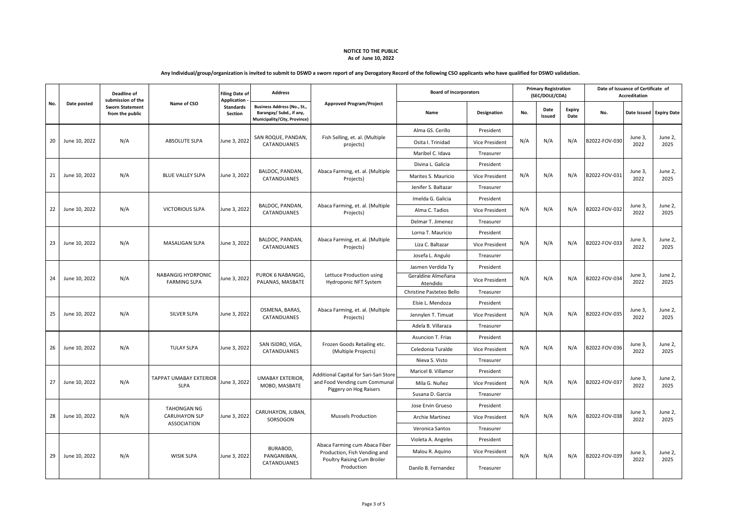| Any Individual/group/organization is invited to submit to DSWD a sworn report of any Derogatory Record of the following CSO applicants who have qualified for DSWD validation. |  |  |
|--------------------------------------------------------------------------------------------------------------------------------------------------------------------------------|--|--|
|--------------------------------------------------------------------------------------------------------------------------------------------------------------------------------|--|--|

|     |               | Deadline of<br>submission of the<br><b>Sworn Statement</b><br>from the public | Name of CSO                                  | <b>Filing Date of</b><br><b>Application</b> | <b>Address</b>                                                                          |                                                    | <b>Board of Incorporators</b>  |                       |     | <b>Primary Registration</b><br>(SEC/DOLE/CDA) |                       | Date of Issuance of Certificate of<br>Accreditation |                 |                         |              |                            |                                           |                     |           |     |  |  |  |      |      |
|-----|---------------|-------------------------------------------------------------------------------|----------------------------------------------|---------------------------------------------|-----------------------------------------------------------------------------------------|----------------------------------------------------|--------------------------------|-----------------------|-----|-----------------------------------------------|-----------------------|-----------------------------------------------------|-----------------|-------------------------|--------------|----------------------------|-------------------------------------------|---------------------|-----------|-----|--|--|--|------|------|
| No. | Date posted   |                                                                               |                                              | <b>Standards</b><br>Section                 | Business Address (No., St.,<br>Barangay/ Subd., if any,<br>Municipality/City, Province) | <b>Approved Program/Project</b>                    | Name                           | Designation           | No. | Date<br>Issued                                | <b>Expiry</b><br>Date | No.                                                 |                 | Date Issued Expiry Date |              |                            |                                           |                     |           |     |  |  |  |      |      |
|     |               |                                                                               |                                              |                                             | SAN ROQUE, PANDAN,<br>CATANDUANES                                                       |                                                    | Alma GS. Cerillo               | President             |     |                                               |                       |                                                     |                 |                         |              |                            |                                           |                     |           |     |  |  |  |      |      |
| 20  | June 10, 2022 | N/A                                                                           | <b>ABSOLUTE SLPA</b>                         | June 3, 2022                                |                                                                                         | Fish Selling, et. al. (Multiple<br>projects)       | Osita I. Trinidad              | <b>Vice President</b> | N/A | N/A                                           | N/A                   | B2022-FOV-030                                       | June 3,<br>2022 | June 2,<br>2025         |              |                            |                                           |                     |           |     |  |  |  |      |      |
|     |               |                                                                               |                                              |                                             |                                                                                         |                                                    | Maribel C. Idava               | Treasurer             |     |                                               |                       |                                                     |                 |                         |              |                            |                                           |                     |           |     |  |  |  |      |      |
|     |               |                                                                               |                                              |                                             |                                                                                         |                                                    | Divina L. Galicia              | President             |     |                                               |                       |                                                     |                 |                         |              |                            |                                           |                     |           |     |  |  |  |      |      |
| 21  | June 10, 2022 | N/A                                                                           | <b>BLUE VALLEY SLPA</b>                      | June 3, 2022                                | BALDOC, PANDAN,<br>CATANDUANES                                                          | Abaca Farming, et. al. (Multiple<br>Projects)      | Marites S. Mauricio            | <b>Vice President</b> | N/A | N/A                                           | N/A                   | B2022-FOV-031                                       | June 3.<br>2022 | June 2.<br>2025         |              |                            |                                           |                     |           |     |  |  |  |      |      |
|     |               |                                                                               |                                              |                                             |                                                                                         |                                                    | Jenifer S. Baltazar            | Treasurer             |     |                                               |                       |                                                     |                 |                         |              |                            |                                           |                     |           |     |  |  |  |      |      |
|     |               |                                                                               |                                              |                                             |                                                                                         |                                                    | Imelda G. Galicia              | President             |     |                                               |                       |                                                     |                 |                         |              |                            |                                           |                     |           |     |  |  |  |      |      |
| 22  | June 10, 2022 | N/A                                                                           | <b>VICTORIOUS SLPA</b>                       | June 3, 2022                                | BALDOC, PANDAN,<br>CATANDUANES                                                          | Abaca Farming, et. al. (Multiple<br>Projects)      | Alma C. Tadios                 | <b>Vice President</b> | N/A | N/A                                           | N/A                   | B2022-FOV-032                                       | June 3,<br>2022 | June 2,<br>2025         |              |                            |                                           |                     |           |     |  |  |  |      |      |
|     |               |                                                                               |                                              |                                             |                                                                                         |                                                    | Delmar T. Jimenez              | Treasurer             |     |                                               |                       |                                                     |                 |                         |              |                            |                                           |                     |           |     |  |  |  |      |      |
| 23  |               |                                                                               |                                              |                                             |                                                                                         |                                                    | Lorna T. Mauricio              | President             |     |                                               |                       |                                                     |                 |                         |              |                            |                                           |                     |           |     |  |  |  |      |      |
|     | June 10, 2022 | N/A                                                                           | MASALIGAN SLPA                               | June 3, 2022                                | BALDOC, PANDAN,<br>CATANDUANES                                                          | Abaca Farming, et. al. (Multiple<br>Projects)      | Liza C. Baltazar               | <b>Vice President</b> | N/A | N/A                                           | N/A                   | B2022-FOV-033                                       | June 3,<br>2022 | June 2,<br>2025         |              |                            |                                           |                     |           |     |  |  |  |      |      |
|     |               |                                                                               |                                              |                                             |                                                                                         |                                                    | Josefa L. Angulo               | Treasurer             |     |                                               |                       |                                                     |                 |                         |              |                            |                                           |                     |           |     |  |  |  |      |      |
|     |               |                                                                               |                                              |                                             |                                                                                         |                                                    | Jasmen Verdida Ty              | President             |     |                                               |                       |                                                     |                 |                         |              |                            |                                           |                     |           |     |  |  |  |      |      |
| 24  | June 10, 2022 | N/A                                                                           | NABANGIG HYDRPONIC<br><b>FARMING SLPA</b>    | June 3, 2022                                | PUROK 6 NABANGIG,<br>PALANAS, MASBATE                                                   | Lettuce Production using<br>Hydroponic NFT System  | Geraldine Almeñana<br>Atendido | <b>Vice President</b> | N/A | N/A                                           | N/A                   | B2022-FOV-034                                       | June 3,<br>2022 | June 2,<br>2025         |              |                            |                                           |                     |           |     |  |  |  |      |      |
|     |               |                                                                               |                                              |                                             |                                                                                         |                                                    | Christine Pasteteo Bello       | Treasurer             |     |                                               |                       |                                                     |                 |                         |              |                            |                                           |                     |           |     |  |  |  |      |      |
|     |               |                                                                               |                                              |                                             |                                                                                         |                                                    | Elsie L. Mendoza               | President             |     |                                               |                       |                                                     |                 |                         |              |                            |                                           |                     |           |     |  |  |  |      |      |
| 25  | June 10, 2022 | N/A                                                                           | SILVER SLPA                                  | June 3, 2022                                | OSMENA, BARAS,<br>CATANDUANES                                                           | Abaca Farming, et. al. (Multiple<br>Projects)      | Jennylen T. Timuat             | Vice President        | N/A | N/A                                           | N/A                   | B2022-FOV-035                                       | June 3,<br>2022 | June 2,<br>2025         |              |                            |                                           |                     |           |     |  |  |  |      |      |
|     |               |                                                                               |                                              |                                             |                                                                                         |                                                    | Adela B. Villaraza             | Treasurer             |     |                                               |                       |                                                     |                 |                         |              |                            |                                           |                     |           |     |  |  |  |      |      |
|     |               |                                                                               |                                              |                                             |                                                                                         |                                                    | Asuncion T. Frias              | President             |     |                                               |                       |                                                     | June 3,<br>2022 | June 2,<br>2025         |              |                            |                                           |                     |           |     |  |  |  |      |      |
| 26  | June 10, 2022 | N/A                                                                           | <b>TULAY SLPA</b>                            | June 3, 2022                                | SAN ISIDRO, VIGA,<br>CATANDUANES                                                        | Frozen Goods Retailing etc.<br>(Multiple Projects) | Celedonia Turalde              | <b>Vice President</b> | N/A | N/A                                           | N/A                   | B2022-FOV-036                                       |                 |                         |              |                            |                                           |                     |           |     |  |  |  |      |      |
|     |               |                                                                               |                                              |                                             |                                                                                         |                                                    | Nieva S. Visto                 | Treasurer             |     |                                               |                       |                                                     |                 |                         |              |                            |                                           |                     |           |     |  |  |  |      |      |
|     |               |                                                                               |                                              |                                             |                                                                                         | Additional Capital for Sari-Sari Store             | Maricel B. Villamor            | President             |     |                                               |                       |                                                     |                 | June 2,<br>2025         |              |                            |                                           |                     |           |     |  |  |  |      |      |
| 27  | June 10, 2022 | N/A                                                                           | <b>TAPPAT UMABAY EXTERIOR</b><br><b>SLPA</b> | June 3, 2022                                | <b>UMABAY EXTERIOR,</b><br>MOBO, MASBATE                                                | and Food Vending cum Communal                      | Mila G. Nuñez                  | Vice President        | N/A | N/A                                           | N/A                   | B2022-FOV-037                                       | June 3,<br>2022 |                         |              |                            |                                           |                     |           |     |  |  |  |      |      |
|     |               |                                                                               |                                              |                                             |                                                                                         | Piggery on Hog Raisers                             | Susana D. Garcia               | Treasurer             |     |                                               |                       |                                                     |                 |                         |              |                            |                                           |                     |           |     |  |  |  |      |      |
|     |               |                                                                               | <b>TAHONGAN NG</b>                           |                                             |                                                                                         |                                                    | Jose Ervin Grueso              | President             |     |                                               |                       |                                                     |                 |                         |              |                            |                                           |                     |           |     |  |  |  |      |      |
| 28  | June 10, 2022 | N/A                                                                           | <b>CARUHAYON SLP</b>                         | June 3, 2022                                | CARUHAYON, JUBAN,<br>SORSOGON                                                           | <b>Mussels Production</b>                          | <b>Archie Martinez</b>         | <b>Vice President</b> | N/A | N/A                                           | N/A                   | B2022-FOV-038                                       | June 3,<br>2022 | June 2,<br>2025         |              |                            |                                           |                     |           |     |  |  |  |      |      |
|     |               |                                                                               | <b>ASSOCIATION</b>                           |                                             |                                                                                         |                                                    | Veronica Santos                | Treasurer             |     |                                               |                       |                                                     |                 |                         |              |                            |                                           |                     |           |     |  |  |  |      |      |
|     |               |                                                                               |                                              |                                             |                                                                                         | Abaca Farming cum Abaca Fiber                      | Violeta A. Angeles             | President             |     |                                               |                       |                                                     |                 | June 2,                 |              |                            |                                           |                     |           |     |  |  |  |      |      |
|     |               |                                                                               |                                              |                                             | BURABOD,                                                                                | Production, Fish Vending and                       | Malou R. Aquino                | <b>Vice President</b> |     | N/A                                           | N/A                   | B2022-FOV-039                                       | June 3,         |                         |              |                            |                                           |                     |           |     |  |  |  |      |      |
| 29  | June 10, 2022 |                                                                               | N/A                                          |                                             |                                                                                         |                                                    |                                |                       |     |                                               |                       |                                                     |                 | <b>WISIK SLPA</b>       | June 3, 2022 | PANGANIBAN,<br>CATANDUANES | Poultry Raising Cum Broiler<br>Production | Danilo B. Fernandez | Treasurer | N/A |  |  |  | 2022 | 2025 |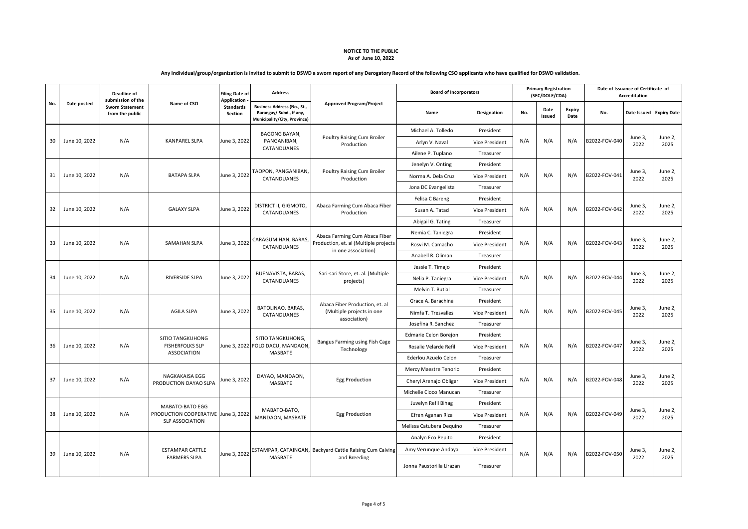|     |               | <b>Deadline of</b><br>submission of the   |                                                                         | <b>Filing Date of</b><br><b>Application</b> | <b>Address</b>                                                                          |                                                          | <b>Board of Incorporators</b> |                       |     | <b>Primary Registration</b><br>(SEC/DOLE/CDA) |                       | Date of Issuance of Certificate of<br>Accreditation |                 |                         |
|-----|---------------|-------------------------------------------|-------------------------------------------------------------------------|---------------------------------------------|-----------------------------------------------------------------------------------------|----------------------------------------------------------|-------------------------------|-----------------------|-----|-----------------------------------------------|-----------------------|-----------------------------------------------------|-----------------|-------------------------|
| No. | Date posted   | <b>Sworn Statement</b><br>from the public | Name of CSO                                                             | <b>Standards</b><br>Section                 | Business Address (No., St.,<br>Barangay/ Subd., if any,<br>Municipality/City, Province) | <b>Approved Program/Project</b>                          | Name                          | <b>Designation</b>    | No. | Date<br>Issued                                | <b>Expiry</b><br>Date | No.                                                 |                 | Date Issued Expiry Date |
|     |               |                                           |                                                                         |                                             | <b>BAGONG BAYAN,</b><br>PANGANIBAN,<br>CATANDUANES                                      |                                                          | Michael A. Tolledo            | President             |     |                                               |                       |                                                     |                 |                         |
| 30  | June 10, 2022 | N/A                                       | <b>KANPAREL SLPA</b>                                                    | June 3, 2022                                |                                                                                         | Poultry Raising Cum Broiler<br>Production                | Arlyn V. Naval                | Vice President        | N/A | N/A                                           | N/A                   | B2022-FOV-040                                       | June 3,<br>2022 | June 2,<br>2025         |
|     |               |                                           |                                                                         |                                             |                                                                                         |                                                          | Ailene P. Tuplano             | Treasurer             |     |                                               |                       |                                                     |                 |                         |
|     |               |                                           |                                                                         |                                             |                                                                                         |                                                          | Jenelyn V. Onting             | President             |     |                                               |                       |                                                     |                 |                         |
| 31  | June 10, 2022 | N/A                                       | <b>BATAPA SLPA</b>                                                      | June 3, 2022                                | TAOPON, PANGANIBAN<br>CATANDUANES                                                       | Poultry Raising Cum Broiler<br>Production                | Norma A. Dela Cruz            | Vice President        | N/A | N/A                                           | N/A                   | B2022-FOV-041                                       | June 3,<br>2022 | June 2,<br>2025         |
|     |               |                                           |                                                                         |                                             |                                                                                         |                                                          | Jona DC Evangelista           | Treasurer             |     |                                               |                       |                                                     |                 |                         |
|     |               |                                           |                                                                         |                                             |                                                                                         |                                                          | Felisa C Bareng               | President             |     |                                               |                       |                                                     |                 |                         |
| 32  | June 10, 2022 | N/A                                       | <b>GALAXY SLPA</b>                                                      | June 3, 2022                                | DISTRICT II, GIGMOTO,<br>CATANDUANES                                                    | Abaca Farming Cum Abaca Fiber<br>Production              | Susan A. Tatad                | Vice President        | N/A | N/A                                           | N/A                   | B2022-FOV-042                                       | June 3,<br>2022 | June 2,<br>2025         |
|     |               |                                           |                                                                         |                                             |                                                                                         |                                                          | Abigail G. Tating             | Treasurer             |     |                                               |                       |                                                     |                 |                         |
|     | June 10, 2022 |                                           |                                                                         |                                             | CARAGUMIHAN, BARAS<br>CATANDUANES                                                       | Abaca Farming Cum Abaca Fiber                            | Nemia C. Taniegra             | President             |     |                                               |                       |                                                     |                 |                         |
| 33  |               | N/A                                       | SAMAHAN SLPA                                                            | June 3, 2022                                |                                                                                         | Production, et. al (Multiple projects                    | Rosvi M. Camacho              | Vice President        | N/A | N/A                                           | N/A                   | B2022-FOV-043                                       | June 3,<br>2022 | June 2,<br>2025         |
|     |               |                                           |                                                                         |                                             |                                                                                         | in one association)                                      | Anabell R. Oliman             | Treasurer             |     |                                               |                       |                                                     |                 |                         |
| 34  |               |                                           |                                                                         |                                             |                                                                                         |                                                          | Jessie T. Timajo              | President             |     |                                               |                       |                                                     |                 | June 2,<br>2025         |
|     | June 10, 2022 | N/A                                       | RIVERSIDE SLPA                                                          | June 3, 2022                                | BUENAVISTA, BARAS,<br>CATANDUANES                                                       | Sari-sari Store, et. al. (Multiple<br>projects)          | Nelia P. Taniegra             | Vice President        | N/A | N/A                                           | N/A                   | B2022-FOV-044                                       | June 3,<br>2022 |                         |
|     |               |                                           |                                                                         |                                             |                                                                                         |                                                          | Melvin T. Butial              | Treasurer             |     |                                               |                       |                                                     |                 |                         |
|     |               |                                           |                                                                         |                                             |                                                                                         | Abaca Fiber Production, et. al                           | Grace A. Barachina            | President             |     |                                               |                       |                                                     | June 2,         |                         |
| 35  | June 10, 2022 | N/A                                       | <b>AGILA SLPA</b>                                                       | June 3, 2022                                | BATOLINAO, BARAS,<br>CATANDUANES                                                        | (Multiple projects in one<br>association)                | Nimfa T. Tresvalles           | Vice President        | N/A | N/A                                           | N/A                   | B2022-FOV-045                                       | June 3,<br>2022 | 2025                    |
|     |               |                                           |                                                                         |                                             |                                                                                         |                                                          | Josefina R. Sanchez           | Treasurer             |     |                                               |                       |                                                     |                 |                         |
|     |               | N/A                                       | <b>SITIO TANGKUHONG</b><br><b>FISHERFOLKS SLP</b><br><b>ASSOCIATION</b> |                                             | SITIO TANGKUHONG,<br>June 3, 2022 POLO DACU, MANDAON<br>MASBATE                         | Bangus Farming using Fish Cage<br>Technology             | Edmarie Celon Borejon         | President             |     |                                               |                       |                                                     |                 | June 2,<br>2025         |
| 36  | June 10, 2022 |                                           |                                                                         |                                             |                                                                                         |                                                          | Rosalie Velarde Refil         | <b>Vice President</b> | N/A | N/A                                           | N/A                   | B2022-FOV-047                                       | June 3,<br>2022 |                         |
|     |               |                                           |                                                                         |                                             |                                                                                         |                                                          | Ederlou Azuelo Celon          | Treasurer             |     |                                               |                       |                                                     |                 |                         |
|     |               |                                           |                                                                         |                                             |                                                                                         |                                                          | Mercy Maestre Tenorio         | President             |     |                                               |                       |                                                     |                 |                         |
| 37  | June 10, 2022 | N/A                                       | NAGKAKAISA EGG<br>PRODUCTION DAYAO SLPA                                 | June 3, 2022                                | DAYAO, MANDAON,<br>MASBATE                                                              | <b>Egg Production</b>                                    | Cheryl Arenajo Obligar        | Vice President        | N/A | N/A                                           | N/A                   | B2022-FOV-048                                       | June 3,<br>2022 | June 2,<br>2025         |
|     |               |                                           |                                                                         |                                             |                                                                                         |                                                          | Michelle Cioco Manucan        | Treasurer             |     |                                               |                       |                                                     |                 |                         |
|     |               |                                           | MABATO-BATO EGG                                                         |                                             |                                                                                         |                                                          | Juvelyn Refil Bihag           | President             |     |                                               |                       |                                                     |                 |                         |
| 38  | June 10, 2022 | N/A                                       | PRODUCTION COOPERATIVE June 3, 2022                                     |                                             | MABATO-BATO,<br>MANDAON, MASBATE                                                        | <b>Egg Production</b>                                    | Efren Aganan Riza             | Vice President        | N/A | N/A                                           | N/A                   | B2022-FOV-049                                       | June 3,<br>2022 | June 2,<br>2025         |
|     |               |                                           | <b>SLP ASSOCIATION</b>                                                  |                                             |                                                                                         |                                                          | Melissa Catubera Dequino      | Treasurer             |     |                                               |                       |                                                     |                 |                         |
|     |               |                                           |                                                                         |                                             |                                                                                         |                                                          | Analyn Eco Pepito             | President             |     |                                               |                       |                                                     | June 3,         | June 2,<br>2025         |
|     |               | N/A                                       | <b>ESTAMPAR CATTLE</b><br><b>FARMERS SLPA</b>                           | June 3, 2022                                |                                                                                         | ESTAMPAR, CATAINGAN, Backyard Cattle Raising Cum Calving | Amy Verunque Andaya           | Vice President        | N/A | N/A                                           | N/A                   | B2022-FOV-050                                       |                 |                         |
| 39  | June 10, 2022 |                                           |                                                                         |                                             | <b>MASBATE</b>                                                                          | and Breeding                                             | Jonna Paustorilla Lirazan     | Treasurer             |     |                                               |                       |                                                     | 2022            |                         |